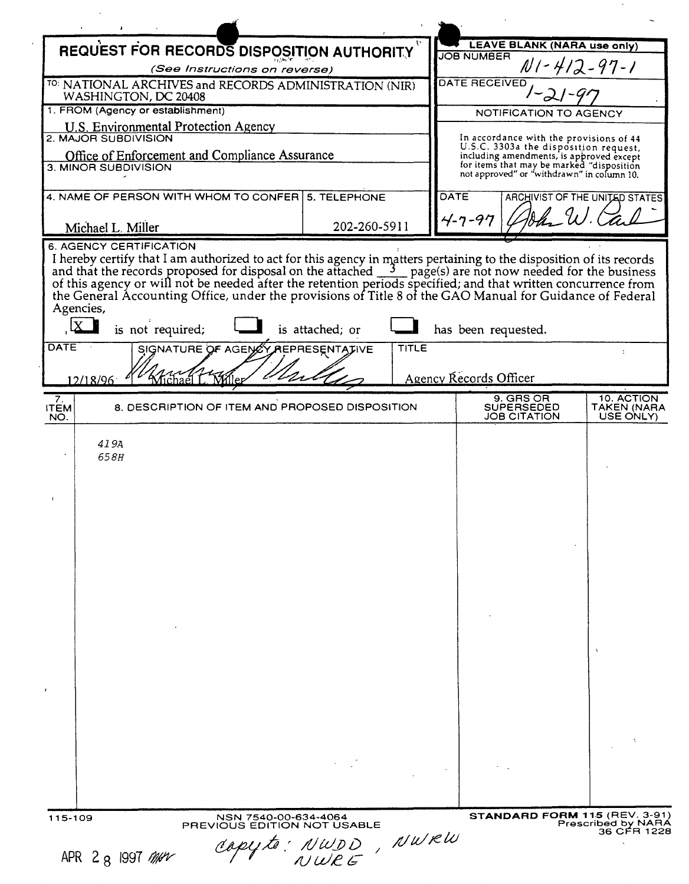| REQUEST FOR RECORDS DISPOSITION AUTHORITY                                        |                                                                                 |                 |              |                                               | <b>LEAVE BLANK (NARA use only)</b>                                                    |                                |  |
|----------------------------------------------------------------------------------|---------------------------------------------------------------------------------|-----------------|--------------|-----------------------------------------------|---------------------------------------------------------------------------------------|--------------------------------|--|
| (See Instructions on reverse)                                                    |                                                                                 |                 |              | <b>JOB NUMBER</b><br>$N1 - 412 - 97 - 1$      |                                                                                       |                                |  |
|                                                                                  | TO: NATIONAL ARCHIVES and RECORDS ADMINISTRATION (NIR)                          |                 |              | <b>DATE RECEIVED</b>                          |                                                                                       |                                |  |
| WASHINGTON, DC 20408                                                             |                                                                                 |                 |              |                                               |                                                                                       |                                |  |
| 1. FROM (Agency or establishment)<br><b>U.S. Environmental Protection Agency</b> |                                                                                 |                 |              |                                               | NOTIFICATION TO AGENCY                                                                |                                |  |
| 2. MAJOR SUBDIVISION                                                             |                                                                                 |                 |              |                                               | In accordance with the provisions of 44<br>U.S.C. 3303a the disposition request,      |                                |  |
| Office of Enforcement and Compliance Assurance<br>3. MINOR SUBDIVISION           |                                                                                 |                 |              |                                               | including amendments, is approved except<br>for items that may be marked "disposition |                                |  |
|                                                                                  |                                                                                 |                 |              |                                               | not approved" or "withdrawn" in column 10.                                            |                                |  |
| 4. NAME OF PERSON WITH WHOM TO CONFER<br>5. TELEPHONE                            |                                                                                 |                 |              | <b>DATE</b>                                   |                                                                                       | ARCHIVIST OF THE UNITED STATES |  |
|                                                                                  |                                                                                 |                 | 202-260-5911 |                                               | $4 - 7 - 97$                                                                          |                                |  |
| Michael L. Miller                                                                | 6. AGENCY CERTIFICATION                                                         |                 |              |                                               |                                                                                       |                                |  |
| Agencies,<br><b>DATE</b><br>12/18/96                                             | is not required;<br>SIGNATURE OF AGENCY REPRESENTATIVE<br>Kichael I<br>. Miller | is attached; or | <b>TITLE</b> | has been requested.<br>Agency Records Officer |                                                                                       |                                |  |
| 7.                                                                               |                                                                                 |                 |              |                                               | 9. GRS OR                                                                             | 10. ACTION                     |  |
| <b>ITEM</b><br>NO.                                                               | 8. DESCRIPTION OF ITEM AND PROPOSED DISPOSITION                                 |                 |              |                                               | <b>SUPERSEDED</b><br><b>JOB CITATION</b>                                              | TAKEN (NARA<br>USE ONLY)       |  |
| 658H                                                                             |                                                                                 |                 |              |                                               |                                                                                       | $\mathbf{v}$                   |  |
|                                                                                  |                                                                                 |                 |              |                                               |                                                                                       |                                |  |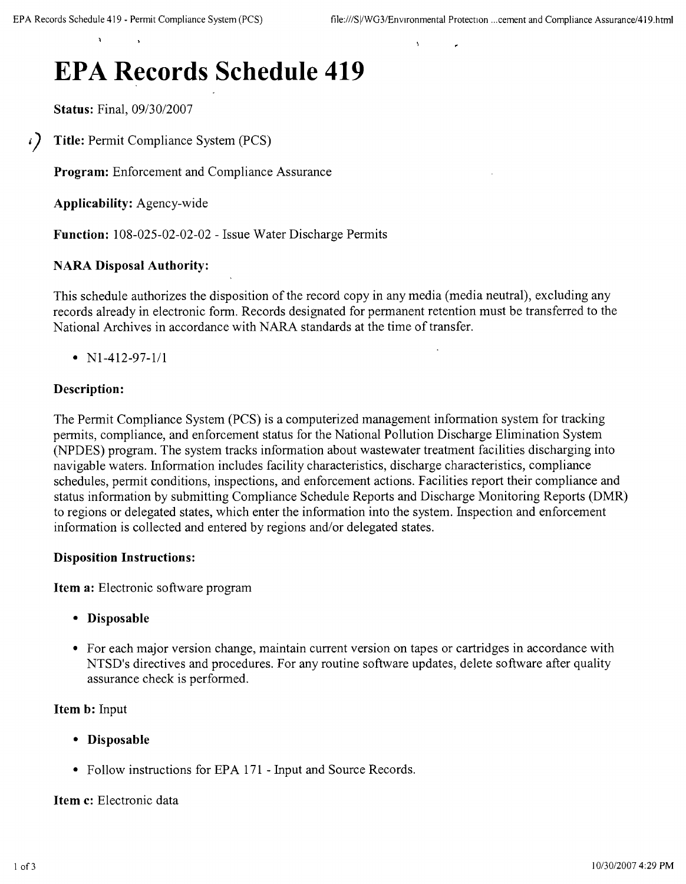# **EPA Records Schedule 419**

**Status:** Final, 09/30/2007

*i*) **Title:** Permit Compliance System (PCS)

**Program:** Enforcement and Compliance Assurance

**Applicability:** Agency-wide

**Function:** 108-025-02-02-02 - Issue Water Discharge Permits

## **NARA Disposal Authority:**

This schedule authorizes the disposition of the record copy in any media (media neutral), excluding any records already in electronic form. Records designated for permanent retention must be transferred to the National Archives in accordance with NARA standards at the time of transfer.

•  $N1-412-97-1/1$ 

## **Description:**

The Permit Compliance System (PCS) is a computerized management information system for tracking permits, compliance, and enforcement status for the National Pollution Discharge Elimination System (NPDES) program. The system tracks information about wastewater treatment facilities discharging into navigable waters. Information includes facility characteristics, discharge characteristics, compliance schedules, permit conditions, inspections, and enforcement actions. Facilities report their compliance and status information by submitting Compliance Schedule Reports and Discharge Monitoring Reports (DMR) to regions or delegated states, which enter the information into the system. Inspection and enforcement information is collected and entered by regions and/or delegated states.

## **Disposition Instructions:**

**Item a:** Electronic software program

- **• Disposable**
- For each major version change, maintain current version on tapes or cartridges in accordance with NTSD's directives and procedures. For any routine software updates, delete software after quality assurance check is performed.

**Item b:** Input

- **• Disposable**
- Follow instructions for EPA 171 Input and Source Records.

## **Item c:** Electronic data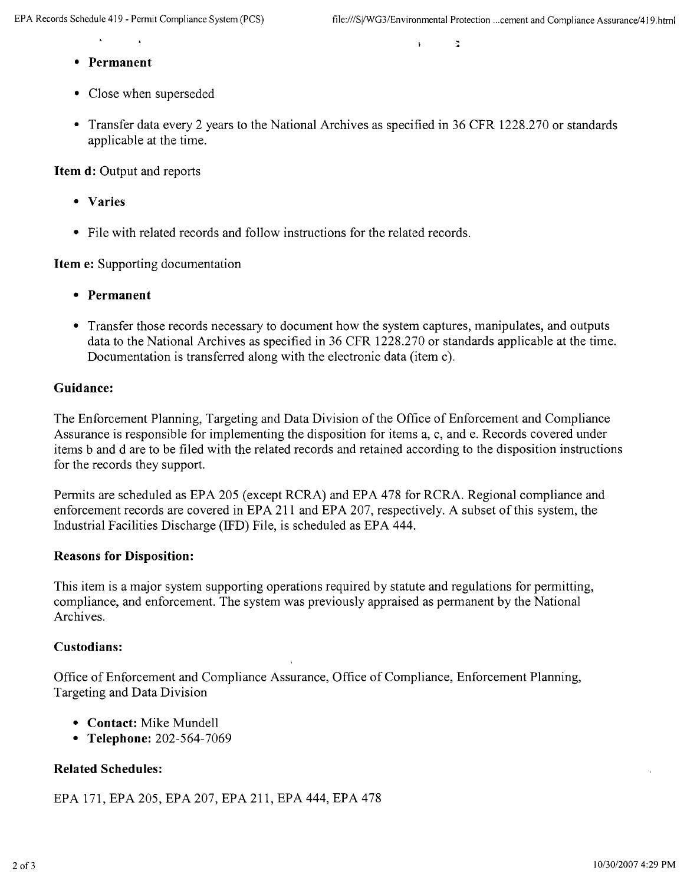..

 $\mathbf{t}$ 

- **• Permanent**
- Close when superseded
- Transfer data every 2 years to the National Archives as specified in 36 CFR 1228.270 or standards applicable at the time.

**Item d:** Output and reports

- **• Varies**
- File with related records and follow instructions for the related records.

**Item e:** Supporting documentation

- **• Permanent**
- Transfer those records necessary to document how the system captures, manipulates, and outputs data to the National Archives as specified in 36 CFR 1228.270 or standards applicable at the time. Documentation is transferred along with the electronic data (item c).

## **Guidance:**

The Enforcement Planning, Targeting and Data Division of the Office of Enforcement and Compliance Assurance is responsible for implementing the disposition for items a, c, and e. Records covered under items band d are to be filed with the related records and retained according to the disposition instructions for the records they support.

Permits are scheduled as EPA 205 (except RCRA) and EPA 478 for RCRA. Regional compliance and enforcement records are covered in EPA 211 and EPA 207, respectively. A subset of this system, the Industrial Facilities Discharge (IFD) File, is scheduled as EPA 444.

## **Reasons for Disposition:**

This item is a major system supporting operations required by statute and regulations for permitting, compliance, and enforcement. The system was previously appraised as permanent by the National Archives.

#### **Custodians:**

Office of Enforcement and Compliance Assurance, Office of Compliance, Enforcement Planning, Targeting and Data Division

- **• Contact:** Mike Mundell
- **• Telephone:** 202-564-7069

## **Related Schedules:**

EPA 171, EPA 205, EPA 207, EPA 211, EPA 444, EPA 478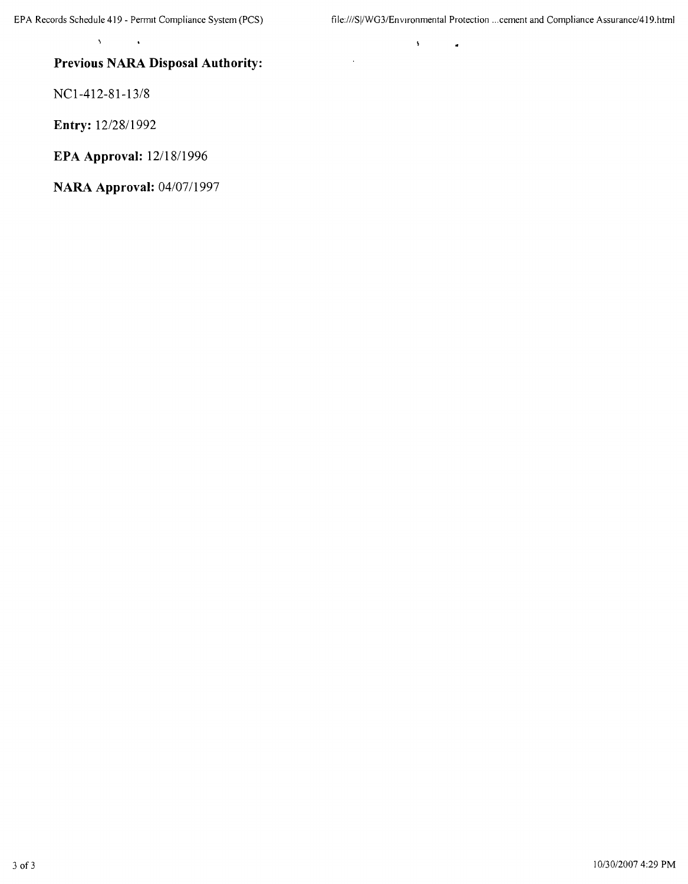$\bar{\mathbf{y}}$ 

 $\ddot{\phantom{a}}$ 

 $\hat{\mathbf{z}}$ 

## **Previous NARA Disposal Authority:**

NCl-412-81-13/8

 $\bar{\mathbf{v}}$ 

**Entry:** 12/2811992

**EPA Approval:** 12118/1996

**NARA Approval:** 04/0711997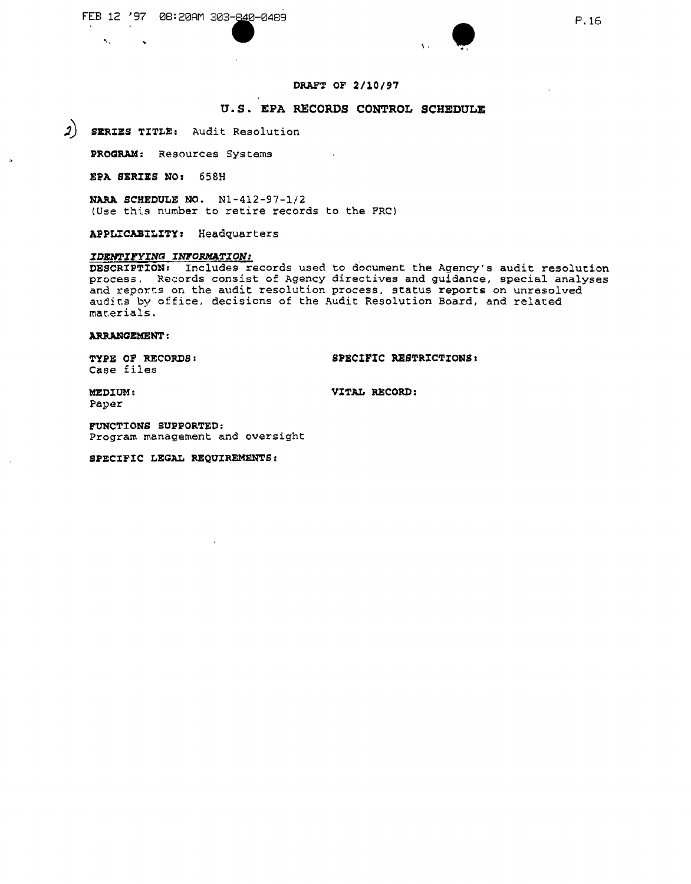

#### **DRAFT OF** *2/10/97*

#### **u.s. EPA RECORDS CONTROL SCHEDULE**

**;) SERIES TITLE:** Audit Resolution

**PROGRAM:** Resources Systems

**EPA SERIES NO;** 658H

**NARA SCHEDULE NO.** Nl-412-97-1/2 (Use this number to retire records to the FRC)

**APPLICABILITY;** Headquarters

#### *IDENTIFYING INFORMATION:*

**DESCRIPTIONr** Includes records used to document the Agency's audit resolution process. Records consist of Agency directives and guidance, special analyses and reports on the audit resolution process, status reports on unresolved audits by office, decisions of the Audit Resolution Board, and related mar.ar ia Ls .

#### **A.RRANGEMENT :**

Case files

**TYPE OF** RECORDS I **SPECIFIC RESTRICTIONS&**

Paper

 $\Delta_{\rm{c}}$ 

 $\rightarrow$ 

 $\ddot{\phantom{1}}$ 

**MEDIUM: VITAL RECORD:**

**FUNCTIONS SUPPORTED:** Program management and oversight

S~ECIFIC**LEGAL REQUIREMENTS:**